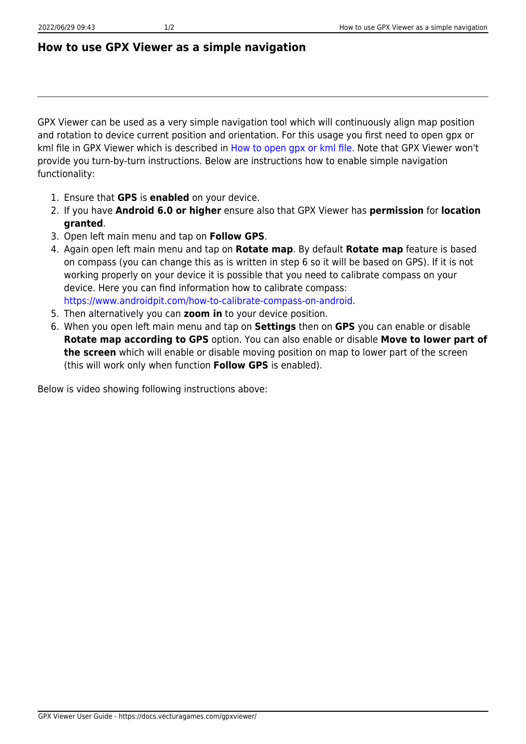## **How to use GPX Viewer as a simple navigation**

GPX Viewer can be used as a very simple navigation tool which will continuously align map position and rotation to device current position and orientation. For this usage you first need to open gpx or kml file in GPX Viewer which is described in [How to open gpx or kml file](https://docs.vecturagames.com/gpxviewer/doku.php?id=docs:faq:how_to:open_file). Note that GPX Viewer won't provide you turn-by-turn instructions. Below are instructions how to enable simple navigation functionality:

- 1. Ensure that **GPS** is **enabled** on your device.
- 2. If you have **Android 6.0 or higher** ensure also that GPX Viewer has **permission** for **location granted**.
- 3. Open left main menu and tap on **Follow GPS**.
- 4. Again open left main menu and tap on **Rotate map**. By default **Rotate map** feature is based on compass (you can change this as is written in step 6 so it will be based on GPS). If it is not working properly on your device it is possible that you need to calibrate compass on your device. Here you can find information how to calibrate compass: <https://www.androidpit.com/how-to-calibrate-compass-on-android>.
- 5. Then alternatively you can **zoom in** to your device position.
- 6. When you open left main menu and tap on **Settings** then on **GPS** you can enable or disable **Rotate map according to GPS** option. You can also enable or disable **Move to lower part of the screen** which will enable or disable moving position on map to lower part of the screen (this will work only when function **Follow GPS** is enabled).

Below is video showing following instructions above: